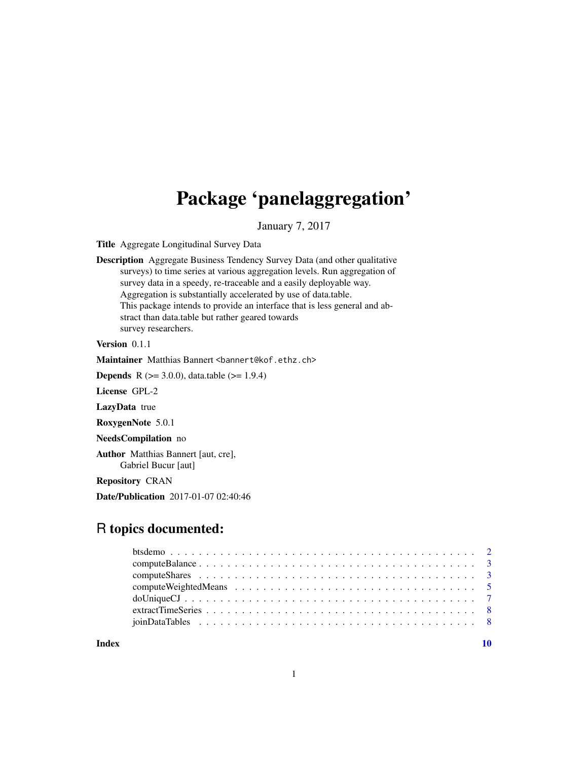## <span id="page-0-0"></span>Package 'panelaggregation'

January 7, 2017

Title Aggregate Longitudinal Survey Data

Description Aggregate Business Tendency Survey Data (and other qualitative surveys) to time series at various aggregation levels. Run aggregation of survey data in a speedy, re-traceable and a easily deployable way. Aggregation is substantially accelerated by use of data.table. This package intends to provide an interface that is less general and abstract than data.table but rather geared towards survey researchers.

Version 0.1.1

Maintainer Matthias Bannert <br/>bannert@kof.ethz.ch>

**Depends** R ( $>= 3.0.0$ ), data.table ( $>= 1.9.4$ )

License GPL-2

LazyData true

RoxygenNote 5.0.1

NeedsCompilation no

Author Matthias Bannert [aut, cre], Gabriel Bucur [aut]

Repository CRAN

Date/Publication 2017-01-07 02:40:46

## R topics documented:

 $\blacksquare$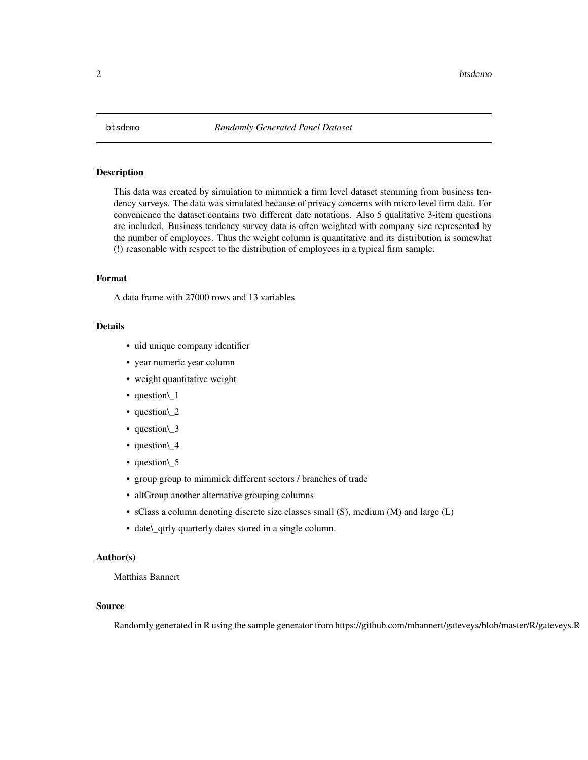<span id="page-1-0"></span>

#### Description

This data was created by simulation to mimmick a firm level dataset stemming from business tendency surveys. The data was simulated because of privacy concerns with micro level firm data. For convenience the dataset contains two different date notations. Also 5 qualitative 3-item questions are included. Business tendency survey data is often weighted with company size represented by the number of employees. Thus the weight column is quantitative and its distribution is somewhat (!) reasonable with respect to the distribution of employees in a typical firm sample.

#### Format

A data frame with 27000 rows and 13 variables

#### Details

- uid unique company identifier
- year numeric year column
- weight quantitative weight
- question\\_1
- question\\_2
- question\ 3
- question\ 4
- question\\_5
- group group to mimmick different sectors / branches of trade
- altGroup another alternative grouping columns
- sClass a column denoting discrete size classes small (S), medium (M) and large (L)
- date\\_qtrly quarterly dates stored in a single column.

#### Author(s)

#### Matthias Bannert

#### Source

Randomly generated in R using the sample generator from https://github.com/mbannert/gateveys/blob/master/R/gateveys.R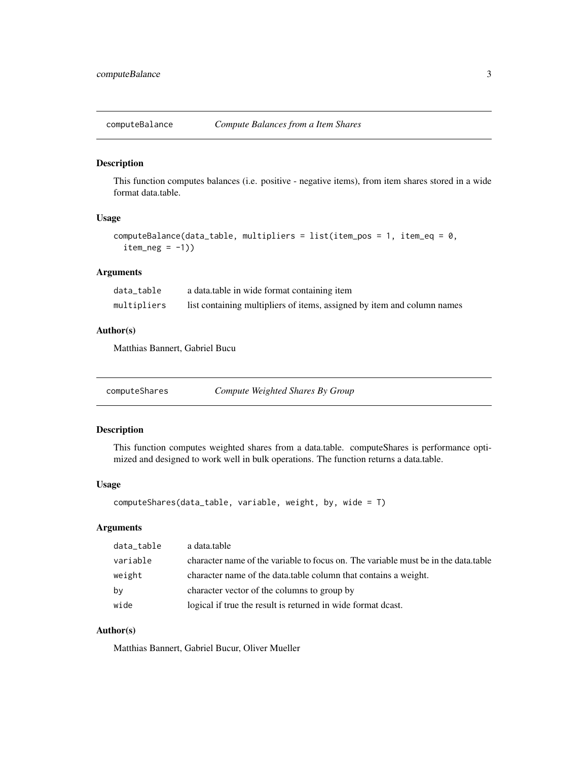<span id="page-2-0"></span>

#### Description

This function computes balances (i.e. positive - negative items), from item shares stored in a wide format data.table.

#### Usage

```
computeBalance(data_table, multipliers = list(item_pos = 1, item_eq = 0,
  item_neg = -1))
```
#### Arguments

| data table  | a data table in wide format containing item                             |
|-------------|-------------------------------------------------------------------------|
| multipliers | list containing multipliers of items, assigned by item and column names |

#### Author(s)

Matthias Bannert, Gabriel Bucu

<span id="page-2-1"></span>computeShares *Compute Weighted Shares By Group*

#### Description

This function computes weighted shares from a data.table. computeShares is performance optimized and designed to work well in bulk operations. The function returns a data.table.

#### Usage

```
computeShares(data_table, variable, weight, by, wide = T)
```
#### Arguments

| data_table | a data.table                                                                       |
|------------|------------------------------------------------------------------------------------|
| variable   | character name of the variable to focus on. The variable must be in the data table |
| weight     | character name of the data, table column that contains a weight.                   |
| by         | character vector of the columns to group by                                        |
| wide       | logical if true the result is returned in wide format deast.                       |

#### Author(s)

Matthias Bannert, Gabriel Bucur, Oliver Mueller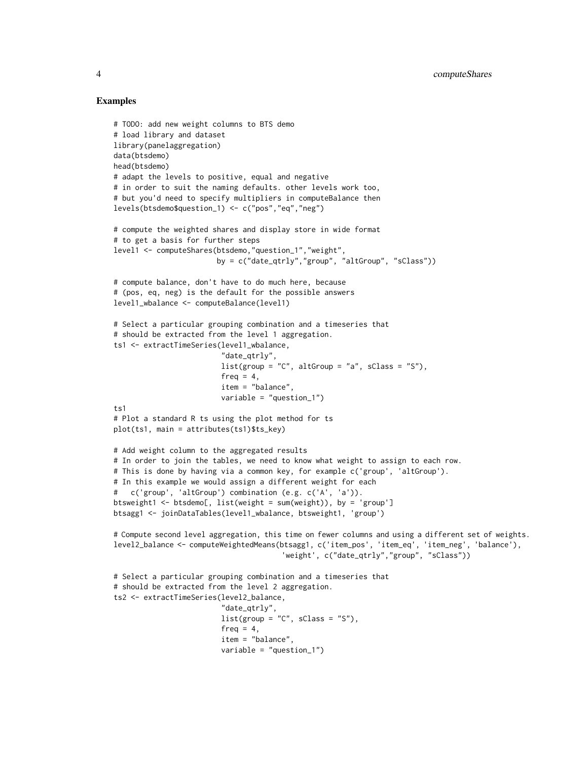#### Examples

```
# TODO: add new weight columns to BTS demo
# load library and dataset
library(panelaggregation)
data(btsdemo)
head(btsdemo)
# adapt the levels to positive, equal and negative
# in order to suit the naming defaults. other levels work too,
# but you'd need to specify multipliers in computeBalance then
levels(btsdemo$question_1) <- c("pos","eq","neg")
# compute the weighted shares and display store in wide format
# to get a basis for further steps
level1 <- computeShares(btsdemo,"question_1","weight",
                        by = c("date_qtrly","group", "altGroup", "sClass"))
# compute balance, don't have to do much here, because
# (pos, eq, neg) is the default for the possible answers
level1_wbalance <- computeBalance(level1)
# Select a particular grouping combination and a timeseries that
# should be extracted from the level 1 aggregation.
ts1 <- extractTimeSeries(level1_wbalance,
                         "date_qtrly",
                         list(group = "C", altGroup = "a", sClass = "S"),freq = 4,
                         item = "balance",
                         variable = "question_1")
ts1
# Plot a standard R ts using the plot method for ts
plot(ts1, main = attributes(ts1)$ts_key)
# Add weight column to the aggregated results
# In order to join the tables, we need to know what weight to assign to each row.
# This is done by having via a common key, for example c('group', 'altGroup').
# In this example we would assign a different weight for each
# c('group', 'altGroup') combination (e.g. c('A', 'a')).
btsweight1 <- btsdemo[, list(weight = sum(weight)), by = 'group']
btsagg1 <- joinDataTables(level1_wbalance, btsweight1, 'group')
# Compute second level aggregation, this time on fewer columns and using a different set of weights.
level2_balance <- computeWeightedMeans(btsagg1, c('item_pos', 'item_eq', 'item_neg', 'balance'),
                                       'weight', c("date_qtrly","group", "sClass"))
# Select a particular grouping combination and a timeseries that
# should be extracted from the level 2 aggregation.
ts2 <- extractTimeSeries(level2_balance,
                         "date_qtrly",
                         list(group = "C", sClass = "S").freq = 4,
                         item = "balance",
                         variable = "question_1")
```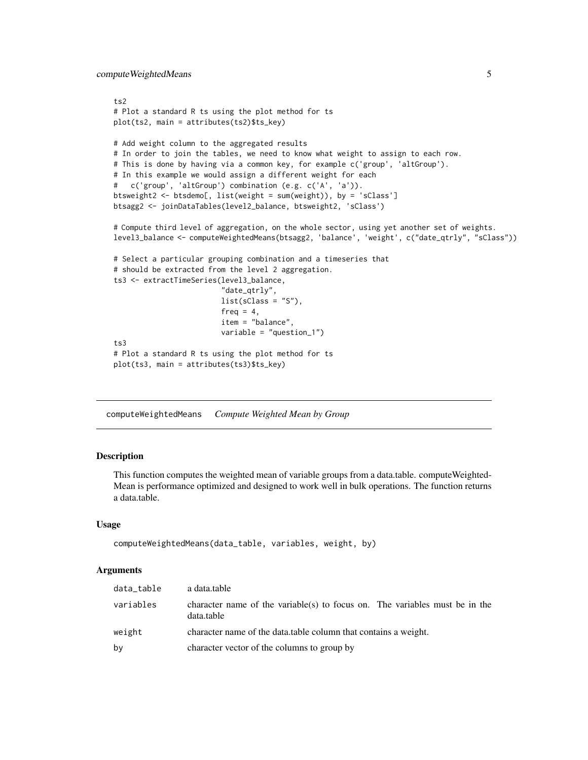<span id="page-4-0"></span>computeWeightedMeans 5

```
ts2
# Plot a standard R ts using the plot method for ts
plot(ts2, main = attributes(ts2)$ts_key)
# Add weight column to the aggregated results
# In order to join the tables, we need to know what weight to assign to each row.
# This is done by having via a common key, for example c('group', 'altGroup').
# In this example we would assign a different weight for each
# c('group', 'altGroup') combination (e.g. c('A', 'a')).
btsweight2 <- btsdemo[, list(weight = sum(weight)), by = 'sClass']
btsagg2 <- joinDataTables(level2_balance, btsweight2, 'sClass')
# Compute third level of aggregation, on the whole sector, using yet another set of weights.
level3_balance <- computeWeightedMeans(btsagg2, 'balance', 'weight', c("date_qtrly", "sClass"))
# Select a particular grouping combination and a timeseries that
# should be extracted from the level 2 aggregation.
ts3 <- extractTimeSeries(level3_balance,
                         "date_qtrly",
                         list(sClass = "S"),
                         freq = 4,
                         item = "balance",
                         variable = "question_1")
ts3
# Plot a standard R ts using the plot method for ts
plot(ts3, main = attributes(ts3)$ts_key)
```
computeWeightedMeans *Compute Weighted Mean by Group*

#### **Description**

This function computes the weighted mean of variable groups from a data.table. computeWeighted-Mean is performance optimized and designed to work well in bulk operations. The function returns a data.table.

#### Usage

```
computeWeightedMeans(data_table, variables, weight, by)
```
#### Arguments

| data_table | a data.table                                                                              |
|------------|-------------------------------------------------------------------------------------------|
| variables  | character name of the variable(s) to focus on. The variables must be in the<br>data.table |
| weight     | character name of the data.table column that contains a weight.                           |
| bv         | character vector of the columns to group by                                               |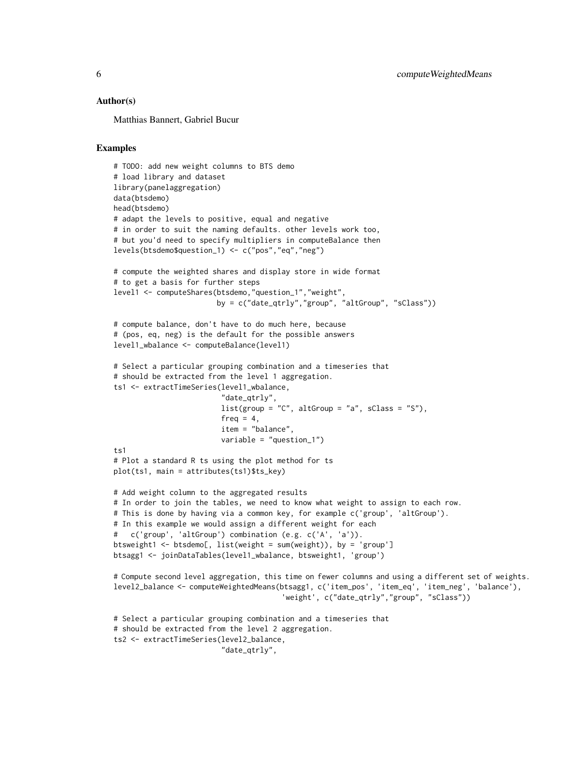#### Author(s)

Matthias Bannert, Gabriel Bucur

#### Examples

```
# TODO: add new weight columns to BTS demo
# load library and dataset
library(panelaggregation)
data(btsdemo)
head(btsdemo)
# adapt the levels to positive, equal and negative
# in order to suit the naming defaults. other levels work too,
# but you'd need to specify multipliers in computeBalance then
levels(btsdemo$question_1) <- c("pos","eq","neg")
# compute the weighted shares and display store in wide format
# to get a basis for further steps
level1 <- computeShares(btsdemo,"question_1","weight",
                        by = c("date_qtrly","group", "altGroup", "sClass"))
# compute balance, don't have to do much here, because
# (pos, eq, neg) is the default for the possible answers
level1_wbalance <- computeBalance(level1)
# Select a particular grouping combination and a timeseries that
# should be extracted from the level 1 aggregation.
ts1 <- extractTimeSeries(level1_wbalance,
                         "date_qtrly",
                         list(group = "C", altGroup = "a", sClass = "S").freq = 4,
                         item = "balance",
                         variable = "question_1")
t<sub>s1</sub># Plot a standard R ts using the plot method for ts
plot(ts1, main = attributes(ts1)$ts_key)
# Add weight column to the aggregated results
# In order to join the tables, we need to know what weight to assign to each row.
# This is done by having via a common key, for example c('group', 'altGroup').
# In this example we would assign a different weight for each
# c('group', 'altGroup') combination (e.g. c('A', 'a')).
btsweight1 <- btsdemo[, list(weight = sum(weight)), by = 'group']
btsagg1 <- joinDataTables(level1_wbalance, btsweight1, 'group')
# Compute second level aggregation, this time on fewer columns and using a different set of weights.
level2_balance <- computeWeightedMeans(btsagg1, c('item_pos', 'item_eq', 'item_neg', 'balance'),
                                       'weight', c("date_qtrly","group", "sClass"))
# Select a particular grouping combination and a timeseries that
# should be extracted from the level 2 aggregation.
ts2 <- extractTimeSeries(level2_balance,
                         "date_qtrly",
```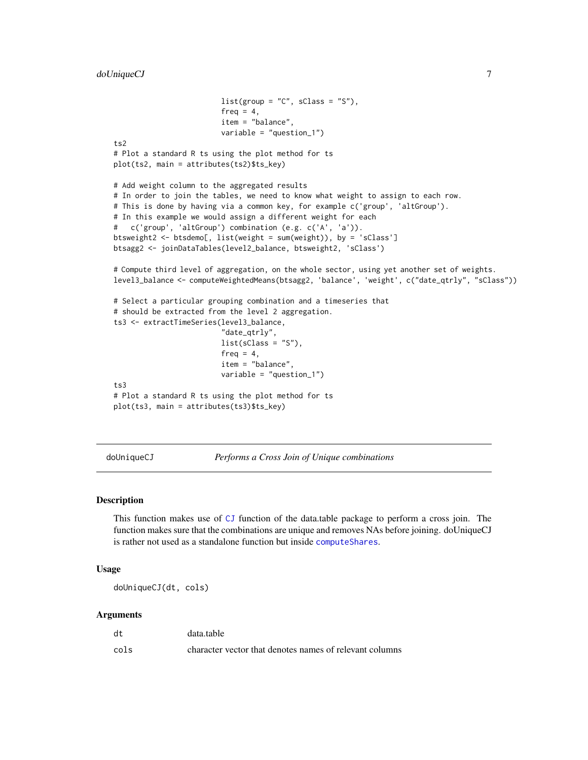```
list(group = "C", sClass = "S"),freq = 4,
                         item = "balance",
                         variable = "question_1")
ts2
# Plot a standard R ts using the plot method for ts
plot(ts2, main = attributes(ts2)$ts_key)
# Add weight column to the aggregated results
# In order to join the tables, we need to know what weight to assign to each row.
# This is done by having via a common key, for example c('group', 'altGroup').
# In this example we would assign a different weight for each
# c('group', 'altGroup') combination (e.g. c('A', 'a')).
btsweight2 <- btsdemo[, list(weight = sum(weight)), by = 'sClass']
btsagg2 <- joinDataTables(level2_balance, btsweight2, 'sClass')
# Compute third level of aggregation, on the whole sector, using yet another set of weights.
level3_balance <- computeWeightedMeans(btsagg2, 'balance', 'weight', c("date_qtrly", "sClass"))
# Select a particular grouping combination and a timeseries that
# should be extracted from the level 2 aggregation.
ts3 <- extractTimeSeries(level3_balance,
                         "date_qtrly",
                         list(sClass = "S"),
                         freq = 4,
                         item = "balance",
                         variable = "question_1")
ts3
# Plot a standard R ts using the plot method for ts
plot(ts3, main = attributes(ts3)$ts_key)
```
doUniqueCJ *Performs a Cross Join of Unique combinations*

#### Description

This function makes use of [CJ](#page-0-0) function of the data.table package to perform a cross join. The function makes sure that the combinations are unique and removes NAs before joining. doUniqueCJ is rather not used as a standalone function but inside [computeShares](#page-2-1).

#### Usage

doUniqueCJ(dt, cols)

#### Arguments

| dt   | data.table                                              |
|------|---------------------------------------------------------|
| cols | character vector that denotes names of relevant columns |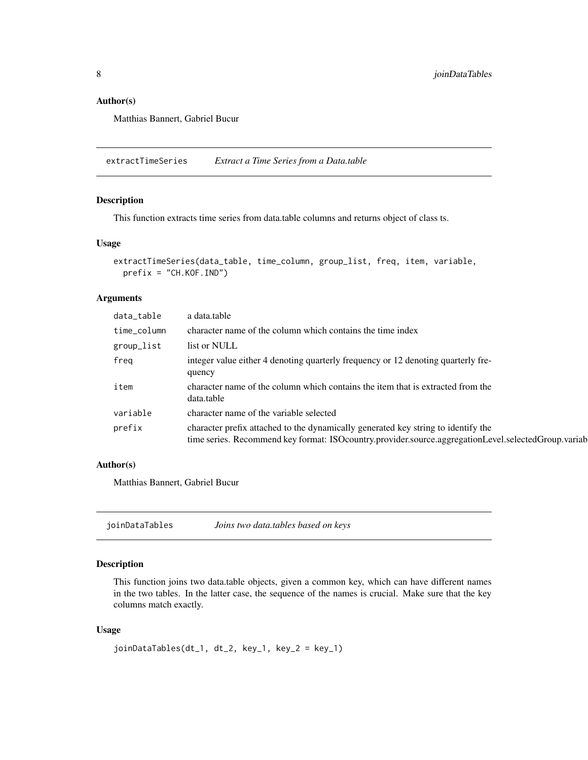#### <span id="page-7-0"></span>Author(s)

Matthias Bannert, Gabriel Bucur

extractTimeSeries *Extract a Time Series from a Data.table*

#### Description

This function extracts time series from data.table columns and returns object of class ts.

#### Usage

```
extractTimeSeries(data_table, time_column, group_list, freq, item, variable,
 prefix = "CH.KOF.IND")
```
#### Arguments

| data_table  | a data.table                                                                                                                                                                             |
|-------------|------------------------------------------------------------------------------------------------------------------------------------------------------------------------------------------|
| time_column | character name of the column which contains the time index                                                                                                                               |
| group_list  | list or NULL                                                                                                                                                                             |
| freg        | integer value either 4 denoting quarterly frequency or 12 denoting quarterly fre-<br>quency                                                                                              |
| item        | character name of the column which contains the item that is extracted from the<br>data.table                                                                                            |
| variable    | character name of the variable selected                                                                                                                                                  |
| prefix      | character prefix attached to the dynamically generated key string to identify the<br>time series. Recommend key format: ISOcountry.provider.source.aggregationLevel.selectedGroup.variab |

#### Author(s)

Matthias Bannert, Gabriel Bucur

joinDataTables *Joins two data.tables based on keys*

#### Description

This function joins two data.table objects, given a common key, which can have different names in the two tables. In the latter case, the sequence of the names is crucial. Make sure that the key columns match exactly.

#### Usage

```
joinDataTables(dt_1, dt_2, key_1, key_2 = key_1)
```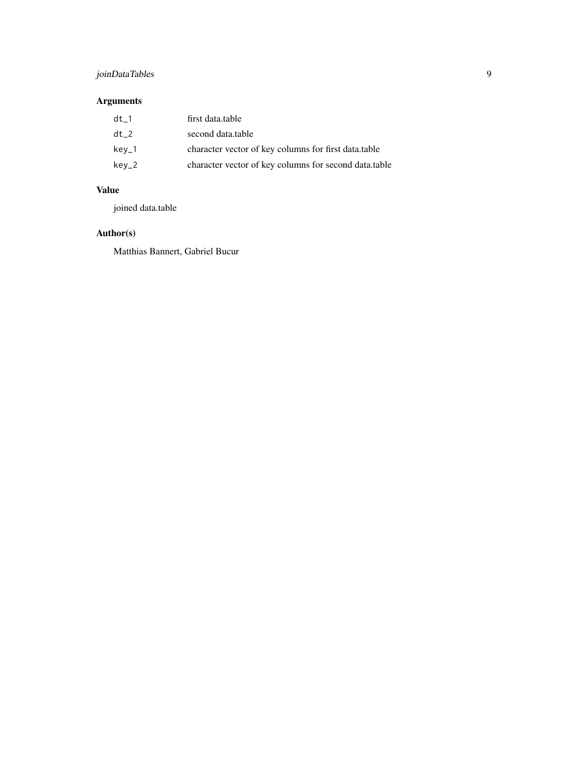## joinDataTables 9

### Arguments

| $dt$ 1          | first data.table                                      |
|-----------------|-------------------------------------------------------|
| dt <sub>2</sub> | second data.table                                     |
| $key_1$         | character vector of key columns for first data.table  |
| key_2           | character vector of key columns for second data.table |

#### Value

joined data.table

#### Author(s)

Matthias Bannert, Gabriel Bucur